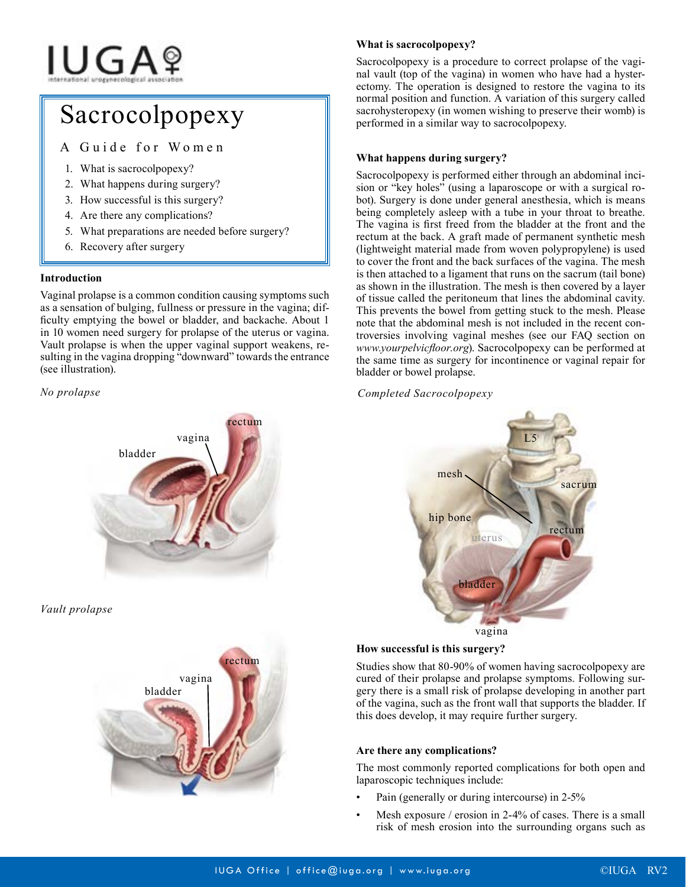# **IUGA**?

# Sacrocolpopexy

A Guide for Women

- 1. What is sacrocolpopexy?
- 2. What happens during surgery?
- 3. How successful is this surgery?
- 4. Are there any complications?
- 5. What preparations are needed before surgery?
- 6. Recovery after surgery

#### **Introduction**

Vaginal prolapse is a common condition causing symptoms such as a sensation of bulging, fullness or pressure in the vagina; difficulty emptying the bowel or bladder, and backache. About 1 in 10 women need surgery for prolapse of the uterus or vagina. Vault prolapse is when the upper vaginal support weakens, resulting in the vagina dropping "downward" towards the entrance (see illustration).

#### *No prolapse*



*Vault prolapse*



## **What is sacrocolpopexy?**

Sacrocolpopexy is a procedure to correct prolapse of the vaginal vault (top of the vagina) in women who have had a hysterectomy. The operation is designed to restore the vagina to its normal position and function. A variation of this surgery called sacrohysteropexy (in women wishing to preserve their womb) is performed in a similar way to sacrocolpopexy.

### **What happens during surgery?**

Sacrocolpopexy is performed either through an abdominal incision or "key holes" (using a laparoscope or with a surgical robot). Surgery is done under general anesthesia, which is means being completely asleep with a tube in your throat to breathe. The vagina is first freed from the bladder at the front and the rectum at the back. A graft made of permanent synthetic mesh (lightweight material made from woven polypropylene) is used to cover the front and the back surfaces of the vagina. The mesh is then attached to a ligament that runs on the sacrum (tail bone) as shown in the illustration. The mesh is then covered by a layer of tissue called the peritoneum that lines the abdominal cavity. This prevents the bowel from getting stuck to the mesh. Please note that the abdominal mesh is not included in the recent controversies involving vaginal meshes (see our FAQ section on *www.yourpelvicfloor.org*). Sacrocolpopexy can be performed at the same time as surgery for incontinence or vaginal repair for bladder or bowel prolapse.

*Completed Sacrocolpopexy*



#### **How successful is this surgery?**

Studies show that 80-90% of women having sacrocolpopexy are cured of their prolapse and prolapse symptoms. Following surgery there is a small risk of prolapse developing in another part of the vagina, such as the front wall that supports the bladder. If this does develop, it may require further surgery.

#### **Are there any complications?**

The most commonly reported complications for both open and laparoscopic techniques include:

- Pain (generally or during intercourse) in 2-5%
- Mesh exposure / erosion in 2-4% of cases. There is a small risk of mesh erosion into the surrounding organs such as